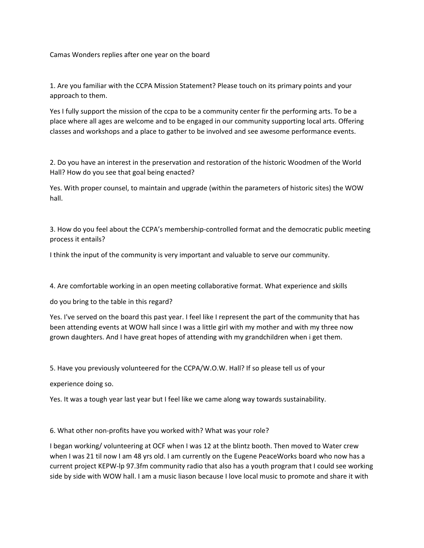Camas Wonders replies after one year on the board

1. Are you familiar with the CCPA Mission Statement? Please touch on its primary points and your approach to them.

Yes I fully support the mission of the ccpa to be a community center fir the performing arts. To be a place where all ages are welcome and to be engaged in our community supporting local arts. Offering classes and workshops and a place to gather to be involved and see awesome performance events.

2. Do you have an interest in the preservation and restoration of the historic Woodmen of the World Hall? How do you see that goal being enacted?

Yes. With proper counsel, to maintain and upgrade (within the parameters of historic sites) the WOW hall.

3. How do you feel about the CCPA's membership‐controlled format and the democratic public meeting process it entails?

I think the input of the community is very important and valuable to serve our community.

4. Are comfortable working in an open meeting collaborative format. What experience and skills

do you bring to the table in this regard?

Yes. I've served on the board this past year. I feel like I represent the part of the community that has been attending events at WOW hall since I was a little girl with my mother and with my three now grown daughters. And I have great hopes of attending with my grandchildren when i get them.

5. Have you previously volunteered for the CCPA/W.O.W. Hall? If so please tell us of your

experience doing so.

Yes. It was a tough year last year but I feel like we came along way towards sustainability.

6. What other non‐profits have you worked with? What was your role?

I began working/ volunteering at OCF when I was 12 at the blintz booth. Then moved to Water crew when I was 21 til now I am 48 yrs old. I am currently on the Eugene PeaceWorks board who now has a current project KEPW‐lp 97.3fm community radio that also has a youth program that I could see working side by side with WOW hall. I am a music liason because I love local music to promote and share it with